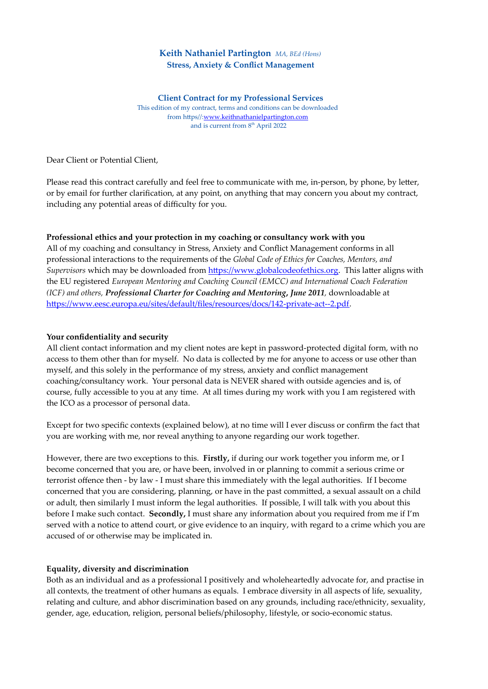## **Keith Nathaniel Partington** *MA, BEd (Hons)* **Stress, Anxiety & Conflict Management**

**Client Contract for my Professional Services**

This edition of my contract, terms and conditions can be downloaded from https//[:www.keithnathanielpartington.com](http://www.keithnathanielpartington.com/) and is current from  $8<sup>th</sup>$  April 2022

Dear Client or Potential Client,

Please read this contract carefully and feel free to communicate with me, in-person, by phone, by letter, or by email for further clarification, at any point, on anything that may concern you about my contract, including any potential areas of difficulty for you.

## **Professional ethics and your protection in my coaching or consultancy work with you**

All of my coaching and consultancy in Stress, Anxiety and Conflict Management conforms in all professional interactions to the requirements of the *Global Code of Ethics for Coaches, Mentors, and Supervisors* which may be downloaded from [https://www.globalcodeofethics.org.](https://www.globalcodeofethics.org/) This latter aligns with the EU registered *European Mentoring and Coaching Council (EMCC) and International Coach Federation (ICF) and others, Professional Charter for Coaching and Mentoring***,** *June 2011,* downloadable at <https://www.eesc.europa.eu/sites/default/files/resources/docs/142-private-act--2.pdf>.

# **Your confidentiality and security**

All client contact information and my client notes are kept in password-protected digital form, with no access to them other than for myself. No data is collected by me for anyone to access or use other than myself, and this solely in the performance of my stress, anxiety and conflict management coaching/consultancy work. Your personal data is NEVER shared with outside agencies and is, of course, fully accessible to you at any time. At all times during my work with you I am registered with the ICO as a processor of personal data.

Except for two specific contexts (explained below), at no time will I ever discuss or confirm the fact that you are working with me, nor reveal anything to anyone regarding our work together.

However, there are two exceptions to this. **Firstly,** if during our work together you inform me, or I become concerned that you are, or have been, involved in or planning to commit a serious crime or terrorist offence then - by law - I must share this immediately with the legal authorities. If I become concerned that you are considering, planning, or have in the past committed, a sexual assault on a child or adult, then similarly I must inform the legal authorities. If possible, I will talk with you about this before I make such contact. **Secondly,** I must share any information about you required from me if I'm served with a notice to attend court, or give evidence to an inquiry, with regard to a crime which you are accused of or otherwise may be implicated in.

## **Equality, diversity and discrimination**

Both as an individual and as a professional I positively and wholeheartedly advocate for, and practise in all contexts, the treatment of other humans as equals. I embrace diversity in all aspects of life, sexuality, relating and culture, and abhor discrimination based on any grounds, including race/ethnicity, sexuality, gender, age, education, religion, personal beliefs/philosophy, lifestyle, or socio-economic status.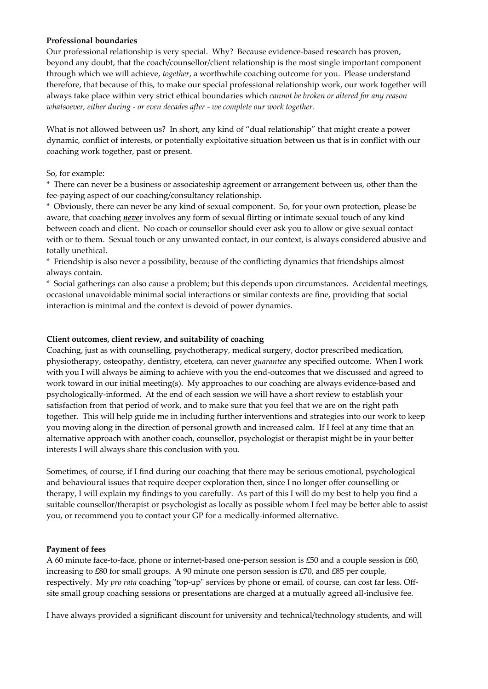### **Professional boundaries**

Our professional relationship is very special. Why? Because evidence-based research has proven, beyond any doubt, that the coach/counsellor/client relationship is the most single important component through which we will achieve, *together*, a worthwhile coaching outcome for you. Please understand therefore, that because of this, to make our special professional relationship work, our work together will always take place within very strict ethical boundaries which *cannot be broken or altered for any reason whatsoever, either during - or even decades after - we complete our work together*.

What is not allowed between us? In short, any kind of "dual relationship" that might create a power dynamic, conflict of interests, or potentially exploitative situation between us that is in conflict with our coaching work together, past or present.

### So, for example:

\* There can never be a business or associateship agreement or arrangement between us, other than the fee-paying aspect of our coaching/consultancy relationship.

\* Obviously, there can never be any kind of sexual component. So, for your own protection, please be aware, that coaching *never* involves any form of sexual flirting or intimate sexual touch of any kind between coach and client. No coach or counsellor should ever ask you to allow or give sexual contact with or to them. Sexual touch or any unwanted contact, in our context, is always considered abusive and totally unethical.

\* Friendship is also never a possibility, because of the conflicting dynamics that friendships almost always contain.

\* Social gatherings can also cause a problem; but this depends upon circumstances. Accidental meetings, occasional unavoidable minimal social interactions or similar contexts are fine, providing that social interaction is minimal and the context is devoid of power dynamics.

### **Client outcomes, client review, and suitability of coaching**

Coaching, just as with counselling, psychotherapy, medical surgery, doctor prescribed medication, physiotherapy, osteopathy, dentistry, etcetera, can never *guarantee* any specified outcome. When I work with you I will always be aiming to achieve with you the end-outcomes that we discussed and agreed to work toward in our initial meeting(s). My approaches to our coaching are always evidence-based and psychologically-informed. At the end of each session we will have a short review to establish your satisfaction from that period of work, and to make sure that you feel that we are on the right path together. This will help guide me in including further interventions and strategies into our work to keep you moving along in the direction of personal growth and increased calm. If I feel at any time that an alternative approach with another coach, counsellor, psychologist or therapist might be in your better interests I will always share this conclusion with you.

Sometimes, of course, if I find during our coaching that there may be serious emotional, psychological and behavioural issues that require deeper exploration then, since I no longer offer counselling or therapy, I will explain my findings to you carefully. As part of this I will do my best to help you find a suitable counsellor/therapist or psychologist as locally as possible whom I feel may be better able to assist you, or recommend you to contact your GP for a medically-informed alternative.

#### **Payment of fees**

A 60 minute face-to-face, phone or internet-based one-person session is £50 and a couple session is £60, increasing to £80 for small groups. A 90 minute one person session is £70, and £85 per couple, respectively. My *pro rata* coaching "top-up" services by phone or email, of course, can cost far less. Offsite small group coaching sessions or presentations are charged at a mutually agreed all-inclusive fee.

I have always provided a significant discount for university and technical/technology students, and will